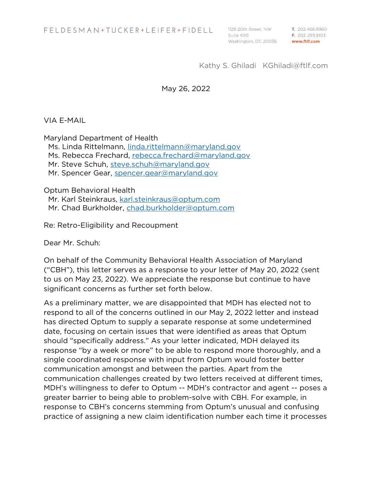T. 202.466.8960 E. 202.293.8103 www.ftlf.com

### Kathy S. Ghiladi KGhiladi@ftlf.com

#### May 26, 2022

VIA E-MAIL

Maryland Department of Health Ms. Linda Rittelmann, linda.rittelmann@maryland.gov Ms. Rebecca Frechard, rebecca.frechard@maryland.gov Mr. Steve Schuh, steve.schuh@maryland.gov Mr. Spencer Gear, spencer.gear@maryland.gov

Optum Behavioral Health

Mr. Karl Steinkraus, karl.steinkraus@optum.com Mr. Chad Burkholder, chad.burkholder@optum.com

Re: Retro-Eligibility and Recoupment

Dear Mr. Schuh:

On behalf of the Community Behavioral Health Association of Maryland ("CBH"), this letter serves as a response to your letter of May 20, 2022 (sent to us on May 23, 2022). We appreciate the response but continue to have significant concerns as further set forth below.

As a preliminary matter, we are disappointed that MDH has elected not to respond to all of the concerns outlined in our May 2, 2022 letter and instead has directed Optum to supply a separate response at some undetermined date, focusing on certain issues that were identified as areas that Optum should "specifically address." As your letter indicated, MDH delayed its response "by a week or more" to be able to respond more thoroughly, and a single coordinated response with input from Optum would foster better communication amongst and between the parties. Apart from the communication challenges created by two letters received at different times, MDH's willingness to defer to Optum -- MDH's contractor and agent -- poses a greater barrier to being able to problem-solve with CBH. For example, in response to CBH's concerns stemming from Optum's unusual and confusing practice of assigning a new claim identification number each time it processes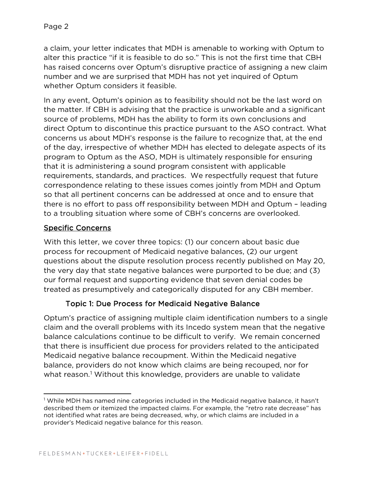a claim, your letter indicates that MDH is amenable to working with Optum to alter this practice "if it is feasible to do so." This is not the first time that CBH has raised concerns over Optum's disruptive practice of assigning a new claim number and we are surprised that MDH has not yet inquired of Optum whether Optum considers it feasible.

In any event, Optum's opinion as to feasibility should not be the last word on the matter. If CBH is advising that the practice is unworkable and a significant source of problems, MDH has the ability to form its own conclusions and direct Optum to discontinue this practice pursuant to the ASO contract. What concerns us about MDH's response is the failure to recognize that, at the end of the day, irrespective of whether MDH has elected to delegate aspects of its program to Optum as the ASO, MDH is ultimately responsible for ensuring that it is administering a sound program consistent with applicable requirements, standards, and practices. We respectfully request that future correspondence relating to these issues comes jointly from MDH and Optum so that all pertinent concerns can be addressed at once and to ensure that there is no effort to pass off responsibility between MDH and Optum – leading to a troubling situation where some of CBH's concerns are overlooked.

## Specific Concerns

With this letter, we cover three topics: (1) our concern about basic due process for recoupment of Medicaid negative balances, (2) our urgent questions about the dispute resolution process recently published on May 20, the very day that state negative balances were purported to be due; and (3) our formal request and supporting evidence that seven denial codes be treated as presumptively and categorically disputed for any CBH member.

# Topic 1: Due Process for Medicaid Negative Balance

Optum's practice of assigning multiple claim identification numbers to a single claim and the overall problems with its Incedo system mean that the negative balance calculations continue to be difficult to verify. We remain concerned that there is insufficient due process for providers related to the anticipated Medicaid negative balance recoupment. Within the Medicaid negative balance, providers do not know which claims are being recouped, nor for what reason. <sup>1</sup> Without this knowledge, providers are unable to validate

<sup>1</sup> While MDH has named nine categories included in the Medicaid negative balance, it hasn't described them or itemized the impacted claims. For example, the "retro rate decrease" has not identified what rates are being decreased, why, or which claims are included in a provider's Medicaid negative balance for this reason.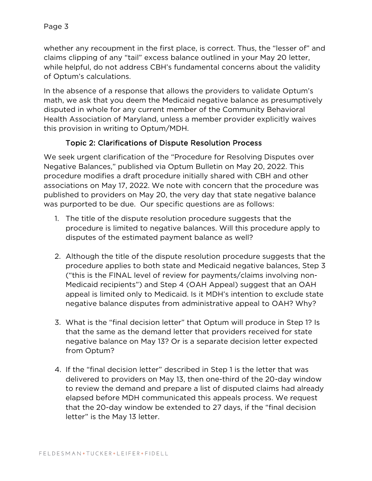whether any recoupment in the first place, is correct. Thus, the "lesser of" and claims clipping of any "tail" excess balance outlined in your May 20 letter, while helpful, do not address CBH's fundamental concerns about the validity of Optum's calculations.

In the absence of a response that allows the providers to validate Optum's math, we ask that you deem the Medicaid negative balance as presumptively disputed in whole for any current member of the Community Behavioral Health Association of Maryland, unless a member provider explicitly waives this provision in writing to Optum/MDH.

## Topic 2: Clarifications of Dispute Resolution Process

We seek urgent clarification of the "Procedure for Resolving Disputes over Negative Balances," published via Optum Bulletin on May 20, 2022. This procedure modifies a draft procedure initially shared with CBH and other associations on May 17, 2022. We note with concern that the procedure was published to providers on May 20, the very day that state negative balance was purported to be due. Our specific questions are as follows:

- 1. The title of the dispute resolution procedure suggests that the procedure is limited to negative balances. Will this procedure apply to disputes of the estimated payment balance as well?
- 2. Although the title of the dispute resolution procedure suggests that the procedure applies to both state and Medicaid negative balances, Step 3 ("this is the FINAL level of review for payments/claims involving non-Medicaid recipients") and Step 4 (OAH Appeal) suggest that an OAH appeal is limited only to Medicaid. Is it MDH's intention to exclude state negative balance disputes from administrative appeal to OAH? Why?
- 3. What is the "final decision letter" that Optum will produce in Step 1? Is that the same as the demand letter that providers received for state negative balance on May 13? Or is a separate decision letter expected from Optum?
- 4. If the "final decision letter" described in Step 1 is the letter that was delivered to providers on May 13, then one-third of the 20-day window to review the demand and prepare a list of disputed claims had already elapsed before MDH communicated this appeals process. We request that the 20-day window be extended to 27 days, if the "final decision letter" is the May 13 letter.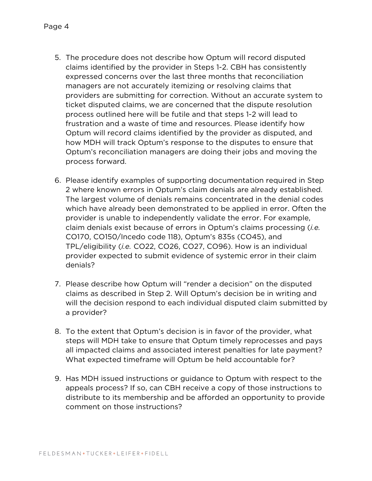- 5. The procedure does not describe how Optum will record disputed claims identified by the provider in Steps 1-2. CBH has consistently expressed concerns over the last three months that reconciliation managers are not accurately itemizing or resolving claims that providers are submitting for correction. Without an accurate system to ticket disputed claims, we are concerned that the dispute resolution process outlined here will be futile and that steps 1-2 will lead to frustration and a waste of time and resources. Please identify how Optum will record claims identified by the provider as disputed, and how MDH will track Optum's response to the disputes to ensure that Optum's reconciliation managers are doing their jobs and moving the process forward.
- 6. Please identify examples of supporting documentation required in Step 2 where known errors in Optum's claim denials are already established. The largest volume of denials remains concentrated in the denial codes which have already been demonstrated to be applied in error. Often the provider is unable to independently validate the error. For example, claim denials exist because of errors in Optum's claims processing (*i.e.* CO170, CO150/Incedo code 118), Optum's 835s (CO45), and TPL/eligibility (*i.e.* CO22, CO26, CO27, CO96). How is an individual provider expected to submit evidence of systemic error in their claim denials?
- 7. Please describe how Optum will "render a decision" on the disputed claims as described in Step 2. Will Optum's decision be in writing and will the decision respond to each individual disputed claim submitted by a provider?
- 8. To the extent that Optum's decision is in favor of the provider, what steps will MDH take to ensure that Optum timely reprocesses and pays all impacted claims and associated interest penalties for late payment? What expected timeframe will Optum be held accountable for?
- 9. Has MDH issued instructions or guidance to Optum with respect to the appeals process? If so, can CBH receive a copy of those instructions to distribute to its membership and be afforded an opportunity to provide comment on those instructions?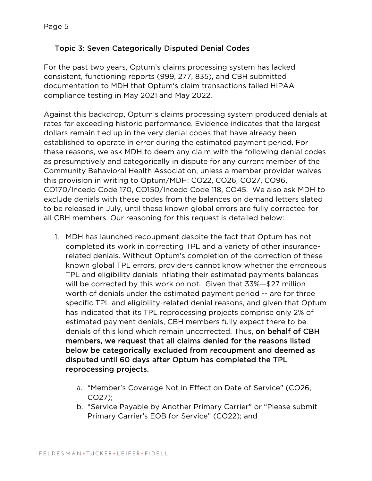## Topic 3: Seven Categorically Disputed Denial Codes

For the past two years, Optum's claims processing system has lacked consistent, functioning reports (999, 277, 835), and CBH submitted documentation to MDH that Optum's claim transactions failed HIPAA compliance testing in May 2021 and May 2022.

Against this backdrop, Optum's claims processing system produced denials at rates far exceeding historic performance. Evidence indicates that the largest dollars remain tied up in the very denial codes that have already been established to operate in error during the estimated payment period. For these reasons, we ask MDH to deem any claim with the following denial codes as presumptively and categorically in dispute for any current member of the Community Behavioral Health Association, unless a member provider waives this provision in writing to Optum/MDH: CO22, CO26, CO27, CO96, CO170/Incedo Code 170, CO150/Incedo Code 118, CO45. We also ask MDH to exclude denials with these codes from the balances on demand letters slated to be released in July, until these known global errors are fully corrected for all CBH members. Our reasoning for this request is detailed below:

- 1. MDH has launched recoupment despite the fact that Optum has not completed its work in correcting TPL and a variety of other insurancerelated denials. Without Optum's completion of the correction of these known global TPL errors, providers cannot know whether the erroneous TPL and eligibility denials inflating their estimated payments balances will be corrected by this work on not. Given that 33%—\$27 million worth of denials under the estimated payment period -- are for three specific TPL and eligibility-related denial reasons, and given that Optum has indicated that its TPL reprocessing projects comprise only 2% of estimated payment denials, CBH members fully expect there to be denials of this kind which remain uncorrected. Thus, on behalf of CBH members, we request that all claims denied for the reasons listed below be categorically excluded from recoupment and deemed as disputed until 60 days after Optum has completed the TPL reprocessing projects.
	- a. "Member's Coverage Not in Effect on Date of Service" (CO26, CO27);
	- b. "Service Payable by Another Primary Carrier" or "Please submit Primary Carrier's EOB for Service" (CO22); and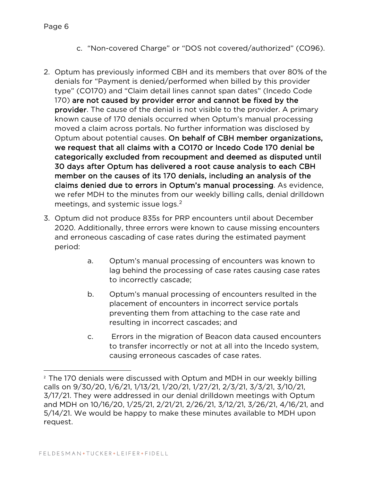- c. "Non-covered Charge" or "DOS not covered/authorized" (CO96).
- 2. Optum has previously informed CBH and its members that over 80% of the denials for "Payment is denied/performed when billed by this provider type" (CO170) and "Claim detail lines cannot span dates" (Incedo Code 170) are not caused by provider error and cannot be fixed by the provider. The cause of the denial is not visible to the provider. A primary known cause of 170 denials occurred when Optum's manual processing moved a claim across portals. No further information was disclosed by Optum about potential causes. On behalf of CBH member organizations, we request that all claims with a CO170 or Incedo Code 170 denial be categorically excluded from recoupment and deemed as disputed until 30 days after Optum has delivered a root cause analysis to each CBH member on the causes of its 170 denials, including an analysis of the claims denied due to errors in Optum's manual processing. As evidence, we refer MDH to the minutes from our weekly billing calls, denial drilldown meetings, and systemic issue logs.<sup>2</sup>
- 3. Optum did not produce 835s for PRP encounters until about December 2020. Additionally, three errors were known to cause missing encounters and erroneous cascading of case rates during the estimated payment period:
	- a. Optum's manual processing of encounters was known to lag behind the processing of case rates causing case rates to incorrectly cascade;
	- b. Optum's manual processing of encounters resulted in the placement of encounters in incorrect service portals preventing them from attaching to the case rate and resulting in incorrect cascades; and
	- c. Errors in the migration of Beacon data caused encounters to transfer incorrectly or not at all into the Incedo system, causing erroneous cascades of case rates.

<sup>&</sup>lt;sup>2</sup> The 170 denials were discussed with Optum and MDH in our weekly billing calls on 9/30/20, 1/6/21, 1/13/21, 1/20/21, 1/27/21, 2/3/21, 3/3/21, 3/10/21, 3/17/21. They were addressed in our denial drilldown meetings with Optum and MDH on 10/16/20, 1/25/21, 2/21/21, 2/26/21, 3/12/21, 3/26/21, 4/16/21, and 5/14/21. We would be happy to make these minutes available to MDH upon request.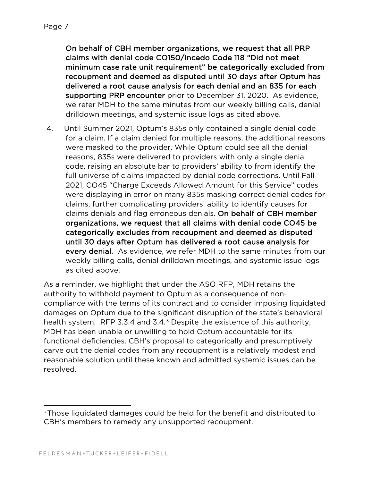On behalf of CBH member organizations, we request that all PRP claims with denial code CO150/Incedo Code 118 "Did not meet minimum case rate unit requirement" be categorically excluded from recoupment and deemed as disputed until 30 days after Optum has delivered a root cause analysis for each denial and an 835 for each supporting PRP encounter prior to December 31, 2020. As evidence, we refer MDH to the same minutes from our weekly billing calls, denial drilldown meetings, and systemic issue logs as cited above.

4. Until Summer 2021, Optum's 835s only contained a single denial code for a claim. If a claim denied for multiple reasons, the additional reasons were masked to the provider. While Optum could see all the denial reasons, 835s were delivered to providers with only a single denial code, raising an absolute bar to providers' ability to from identify the full universe of claims impacted by denial code corrections. Until Fall 2021, CO45 "Charge Exceeds Allowed Amount for this Service" codes were displaying in error on many 835s masking correct denial codes for claims, further complicating providers' ability to identify causes for claims denials and flag erroneous denials. On behalf of CBH member organizations, we request that all claims with denial code CO45 be categorically excludes from recoupment and deemed as disputed until 30 days after Optum has delivered a root cause analysis for every denial. As evidence, we refer MDH to the same minutes from our weekly billing calls, denial drilldown meetings, and systemic issue logs as cited above.

As a reminder, we highlight that under the ASO RFP, MDH retains the authority to withhold payment to Optum as a consequence of noncompliance with the terms of its contract and to consider imposing liquidated damages on Optum due to the significant disruption of the state's behavioral health system. RFP 3.3.4 and  $3.4<sup>3</sup>$  Despite the existence of this authority, MDH has been unable or unwilling to hold Optum accountable for its functional deficiencies. CBH's proposal to categorically and presumptively carve out the denial codes from any recoupment is a relatively modest and reasonable solution until these known and admitted systemic issues can be resolved.

<sup>&</sup>lt;sup>3</sup> Those liquidated damages could be held for the benefit and distributed to CBH's members to remedy any unsupported recoupment.